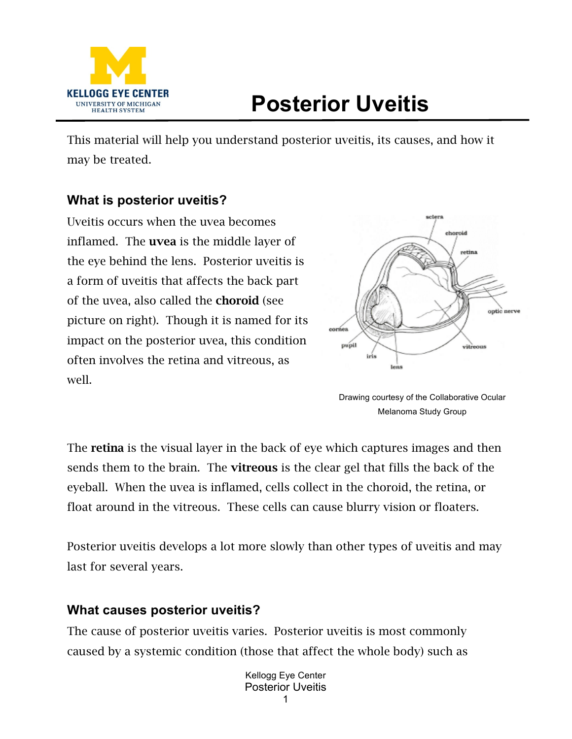

# **Posterior Uveitis**

This material will help you understand posterior uveitis, its causes, and how it may be treated.

#### **What is posterior uveitis?**

Uveitis occurs when the uvea becomes inflamed. The uvea is the middle layer of the eye behind the lens. Posterior uveitis is a form of uveitis that affects the back part of the uvea, also called the choroid (see picture on right). Though it is named for its impact on the posterior uvea, this condition often involves the retina and vitreous, as well.



Drawing courtesy of the Collaborative Ocular Melanoma Study Group

The retina is the visual layer in the back of eye which captures images and then sends them to the brain. The vitreous is the clear gel that fills the back of the eyeball. When the uvea is inflamed, cells collect in the choroid, the retina, or float around in the vitreous. These cells can cause blurry vision or floaters.

Posterior uveitis develops a lot more slowly than other types of uveitis and may last for several years.

### **What causes posterior uveitis?**

The cause of posterior uveitis varies. Posterior uveitis is most commonly caused by a systemic condition (those that affect the whole body) such as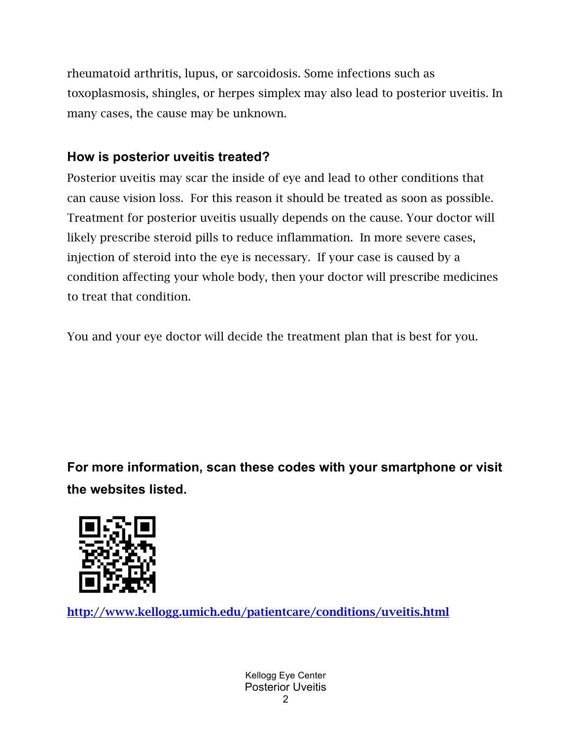rheumatoid arthritis, lupus, or sarcoidosis. Some infections such as toxoplasmosis, shingles, or herpes simplex may also lead to posterior uveitis. In many cases, the cause may be unknown.

## **How is posterior uveitis treated?**

Posterior uveitis may scar the inside of eye and lead to other conditions that can cause vision loss. For this reason it should be treated as soon as possible. Treatment for posterior uveitis usually depends on the cause. Your doctor will likely prescribe steroid pills to reduce inflammation. In more severe cases, injection of steroid into the eye is necessary. If your case is caused by a condition affecting your whole body, then your doctor will prescribe medicines to treat that condition.

You and your eye doctor will decide the treatment plan that is best for you.

**For more information, scan these codes with your smartphone or visit the websites listed.**



http://www.kellogg.umich.edu/patientcare/conditions/uveitis.html